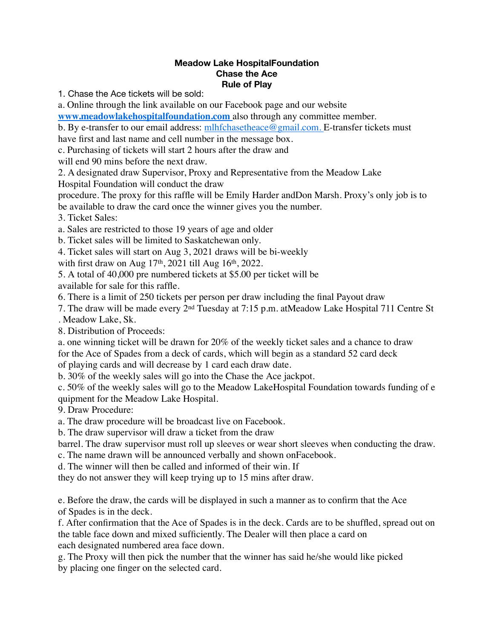## **Meadow Lake HospitalFoundation Chase the Ace Rule of Play**

1. Chase the Ace tickets will be sold:

a. Online through the link available on our Facebook page and our website

**[www.meadowlakehospitalfoundation.com](http://www.meadowlakehospitalfoundation.com/)** also through any committee member.

b. By e-transfer to our email address: [mlhfchasetheace@gmail.com.](mailto:mlhfchasetheace@gmail.com) E-transfer tickets must

have first and last name and cell number in the message box.

c. Purchasing of tickets will start 2 hours after the draw and

will end 90 mins before the next draw.

2. A designated draw Supervisor, Proxy and Representative from the Meadow Lake Hospital Foundation will conduct the draw

procedure. The proxy for this raffle will be Emily Harder andDon Marsh. Proxy's only job is to be available to draw the card once the winner gives you the number.

3. Ticket Sales:

a. Sales are restricted to those 19 years of age and older

b. Ticket sales will be limited to Saskatchewan only.

4. Ticket sales will start on Aug 3, 2021 draws will be bi-weekly

with first draw on Aug 17<sup>th</sup>, 2021 till Aug 16<sup>th</sup>, 2022.

5. A total of 40,000 pre numbered tickets at \$5.00 per ticket will be available for sale for this raffle.

6. There is a limit of 250 tickets per person per draw including the final Payout draw

7. The draw will be made every 2nd Tuesday at 7:15 p.m. atMeadow Lake Hospital 711 Centre St . Meadow Lake, Sk.

8. Distribution of Proceeds:

a. one winning ticket will be drawn for 20% of the weekly ticket sales and a chance to draw for the Ace of Spades from a deck of cards, which will begin as a standard 52 card deck of playing cards and will decrease by 1 card each draw date.

b. 30% of the weekly sales will go into the Chase the Ace jackpot.

c. 50% of the weekly sales will go to the Meadow LakeHospital Foundation towards funding of e quipment for the Meadow Lake Hospital.

9. Draw Procedure:

a. The draw procedure will be broadcast live on Facebook.

b. The draw supervisor will draw a ticket from the draw

barrel. The draw supervisor must roll up sleeves or wear short sleeves when conducting the draw.

c. The name drawn will be announced verbally and shown onFacebook.

d. The winner will then be called and informed of their win. If

they do not answer they will keep trying up to 15 mins after draw.

e. Before the draw, the cards will be displayed in such a manner as to confirm that the Ace of Spades is in the deck.

f. After confirmation that the Ace of Spades is in the deck. Cards are to be shuffled, spread out on the table face down and mixed sufficiently. The Dealer will then place a card on each designated numbered area face down.

g. The Proxy will then pick the number that the winner has said he/she would like picked by placing one finger on the selected card.